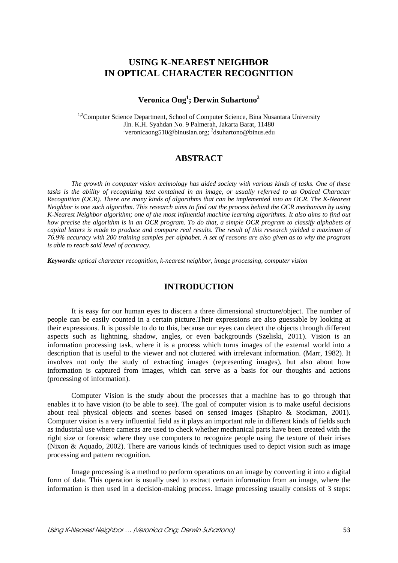# **USING K-NEAREST NEIGHBOR IN OPTICAL CHARACTER RECOGNITION**

# **Veronica Ong1 ; Derwin Suhartono2**

<sup>1,2</sup>Computer Science Department, School of Computer Science, Bina Nusantara University Jln. K.H. Syahdan No. 9 Palmerah, Jakarta Barat, 11480 <sup>1</sup>veronicaong510@binusian.org; <sup>2</sup>dsuhartono@binus.edu

### **ABSTRACT**

*The growth in computer vision technology has aided society with various kinds of tasks. One of these tasks is the ability of recognizing text contained in an image, or usually referred to as Optical Character Recognition (OCR). There are many kinds of algorithms that can be implemented into an OCR. The K-Nearest Neighbor is one such algorithm. This research aims to find out the process behind the OCR mechanism by using K-Nearest Neighbor algorithm; one of the most influential machine learning algorithms. It also aims to find out how precise the algorithm is in an OCR program. To do that, a simple OCR program to classify alphabets of capital letters is made to produce and compare real results. The result of this research yielded a maximum of 76.9% accuracy with 200 training samples per alphabet. A set of reasons are also given as to why the program is able to reach said level of accuracy.* 

*Keywords: optical character recognition, k-nearest neighbor, image processing, computer vision* 

#### **INTRODUCTION**

It is easy for our human eyes to discern a three dimensional structure/object. The number of people can be easily counted in a certain picture.Their expressions are also guessable by looking at their expressions. It is possible to do to this, because our eyes can detect the objects through different aspects such as lightning, shadow, angles, or even backgrounds (Szeliski, 2011). Vision is an information processing task, where it is a process which turns images of the external world into a description that is useful to the viewer and not cluttered with irrelevant information. (Marr, 1982). It involves not only the study of extracting images (representing images), but also about how information is captured from images, which can serve as a basis for our thoughts and actions (processing of information).

Computer Vision is the study about the processes that a machine has to go through that enables it to have vision (to be able to see). The goal of computer vision is to make useful decisions about real physical objects and scenes based on sensed images (Shapiro & Stockman, 2001). Computer vision is a very influential field as it plays an important role in different kinds of fields such as industrial use where cameras are used to check whether mechanical parts have been created with the right size or forensic where they use computers to recognize people using the texture of their irises (Nixon & Aquado, 2002). There are various kinds of techniques used to depict vision such as image processing and pattern recognition.

Image processing is a method to perform operations on an image by converting it into a digital form of data. This operation is usually used to extract certain information from an image, where the information is then used in a decision-making process. Image processing usually consists of 3 steps: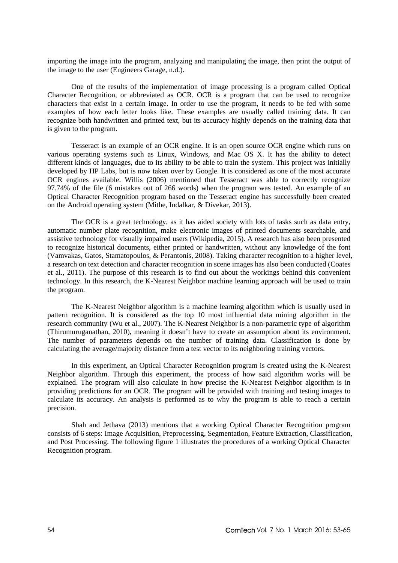importing the image into the program, analyzing and manipulating the image, then print the output of the image to the user (Engineers Garage, n.d.).

One of the results of the implementation of image processing is a program called Optical Character Recognition, or abbreviated as OCR. OCR is a program that can be used to recognize characters that exist in a certain image. In order to use the program, it needs to be fed with some examples of how each letter looks like. These examples are usually called training data. It can recognize both handwritten and printed text, but its accuracy highly depends on the training data that is given to the program.

Tesseract is an example of an OCR engine. It is an open source OCR engine which runs on various operating systems such as Linux, Windows, and Mac OS X. It has the ability to detect different kinds of languages, due to its ability to be able to train the system. This project was initially developed by HP Labs, but is now taken over by Google. It is considered as one of the most accurate OCR engines available. Willis (2006) mentioned that Tesseract was able to correctly recognize 97.74% of the file (6 mistakes out of 266 words) when the program was tested. An example of an Optical Character Recognition program based on the Tesseract engine has successfully been created on the Android operating system (Mithe, Indalkar, & Divekar, 2013).

The OCR is a great technology, as it has aided society with lots of tasks such as data entry, automatic number plate recognition, make electronic images of printed documents searchable, and assistive technology for visually impaired users (Wikipedia, 2015). A research has also been presented to recognize historical documents, either printed or handwritten, without any knowledge of the font (Vamvakas, Gatos, Stamatopoulos, & Perantonis, 2008). Taking character recognition to a higher level, a research on text detection and character recognition in scene images has also been conducted (Coates et al., 2011). The purpose of this research is to find out about the workings behind this convenient technology. In this research, the K-Nearest Neighbor machine learning approach will be used to train the program.

The K-Nearest Neighbor algorithm is a machine learning algorithm which is usually used in pattern recognition. It is considered as the top 10 most influential data mining algorithm in the research community (Wu et al., 2007). The K-Nearest Neighbor is a non-parametric type of algorithm (Thirumuruganathan, 2010), meaning it doesn't have to create an assumption about its environment. The number of parameters depends on the number of training data. Classification is done by calculating the average/majority distance from a test vector to its neighboring training vectors.

In this experiment, an Optical Character Recognition program is created using the K-Nearest Neighbor algorithm. Through this experiment, the process of how said algorithm works will be explained. The program will also calculate in how precise the K-Nearest Neighbor algorithm is in providing predictions for an OCR. The program will be provided with training and testing images to calculate its accuracy. An analysis is performed as to why the program is able to reach a certain precision.

Shah and Jethava (2013) mentions that a working Optical Character Recognition program consists of 6 steps: Image Acquisition, Preprocessing, Segmentation, Feature Extraction, Classification, and Post Processing. The following figure 1 illustrates the procedures of a working Optical Character Recognition program.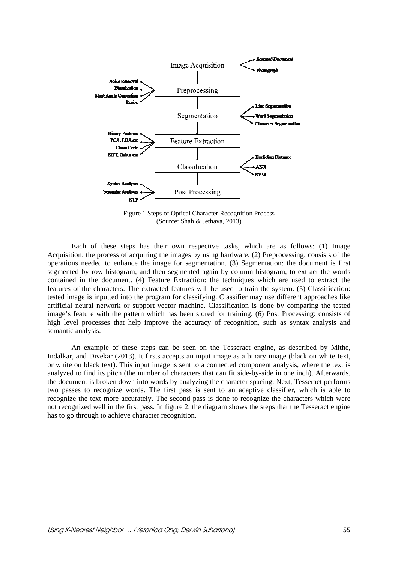

Figure 1 Steps of Optical Character Recognition Process (Source: Shah & Jethava, 2013)

Each of these steps has their own respective tasks, which are as follows: (1) Image Acquisition: the process of acquiring the images by using hardware. (2) Preprocessing: consists of the operations needed to enhance the image for segmentation. (3) Segmentation: the document is first segmented by row histogram, and then segmented again by column histogram, to extract the words contained in the document. (4) Feature Extraction: the techniques which are used to extract the features of the characters. The extracted features will be used to train the system. (5) Classification: tested image is inputted into the program for classifying. Classifier may use different approaches like artificial neural network or support vector machine. Classification is done by comparing the tested image's feature with the pattern which has been stored for training. (6) Post Processing: consists of high level processes that help improve the accuracy of recognition, such as syntax analysis and semantic analysis.

An example of these steps can be seen on the Tesseract engine, as described by Mithe, Indalkar, and Divekar (2013). It firsts accepts an input image as a binary image (black on white text, or white on black text). This input image is sent to a connected component analysis, where the text is analyzed to find its pitch (the number of characters that can fit side-by-side in one inch). Afterwards, the document is broken down into words by analyzing the character spacing. Next, Tesseract performs two passes to recognize words. The first pass is sent to an adaptive classifier, which is able to recognize the text more accurately. The second pass is done to recognize the characters which were not recognized well in the first pass. In figure 2, the diagram shows the steps that the Tesseract engine has to go through to achieve character recognition.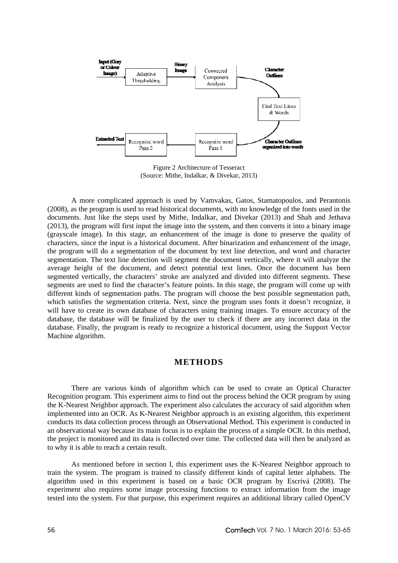

Figure 2 Architecture of Tesseract (Source: Mithe, Indalkar, & Divekar, 2013)

A more complicated approach is used by Vamvakas, Gatos, Stamatopoulos, and Perantonis (2008), as the program is used to read historical documents, with no knowledge of the fonts used in the documents. Just like the steps used by Mithe, Indalkar, and Divekar (2013) and Shah and Jethava (2013), the program will first input the image into the system, and then converts it into a binary image (grayscale image). In this stage, an enhancement of the image is done to preserve the quality of characters, since the input is a historical document. After binarization and enhancement of the image, the program will do a segmentation of the document by text line detection, and word and character segmentation. The text line detection will segment the document vertically, where it will analyze the average height of the document, and detect potential text lines. Once the document has been segmented vertically, the characters' stroke are analyzed and divided into different segments. These segments are used to find the character's feature points. In this stage, the program will come up with different kinds of segmentation paths. The program will choose the best possible segmentation path, which satisfies the segmentation criteria. Next, since the program uses fonts it doesn't recognize, it will have to create its own database of characters using training images. To ensure accuracy of the database, the database will be finalized by the user to check if there are any incorrect data in the database. Finally, the program is ready to recognize a historical document, using the Support Vector Machine algorithm.

## **METHODS**

There are various kinds of algorithm which can be used to create an Optical Character Recognition program. This experiment aims to find out the process behind the OCR program by using the K-Nearest Neighbor approach. The experiment also calculates the accuracy of said algorithm when implemented into an OCR. As K-Nearest Neighbor approach is an existing algorithm, this experiment conducts its data collection process through an Observational Method. This experiment is conducted in an observational way because its main focus is to explain the process of a simple OCR. In this method, the project is monitored and its data is collected over time. The collected data will then be analyzed as to why it is able to reach a certain result.

As mentioned before in section I, this experiment uses the K-Nearest Neighbor approach to train the system. The program is trained to classify different kinds of capital letter alphabets. The algorithm used in this experiment is based on a basic OCR program by Escrivá (2008). The experiment also requires some image processing functions to extract information from the image tested into the system. For that purpose, this experiment requires an additional library called OpenCV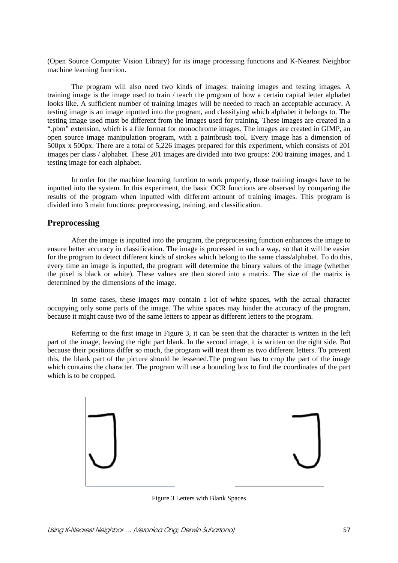(Open Source Computer Vision Library) for its image processing functions and K-Nearest Neighbor machine learning function.

The program will also need two kinds of images: training images and testing images. A training image is the image used to train / teach the program of how a certain capital letter alphabet looks like. A sufficient number of training images will be needed to reach an acceptable accuracy. A testing image is an image inputted into the program, and classifying which alphabet it belongs to. The testing image used must be different from the images used for training. These images are created in a ".pbm" extension, which is a file format for monochrome images. The images are created in GIMP, an open source image manipulation program, with a paintbrush tool. Every image has a dimension of 500px x 500px. There are a total of 5,226 images prepared for this experiment, which consists of 201 images per class / alphabet. These 201 images are divided into two groups: 200 training images, and 1 testing image for each alphabet.

In order for the machine learning function to work properly, those training images have to be inputted into the system. In this experiment, the basic OCR functions are observed by comparing the results of the program when inputted with different amount of training images. This program is divided into 3 main functions: preprocessing, training, and classification.

## **Preprocessing**

After the image is inputted into the program, the preprocessing function enhances the image to ensure better accuracy in classification. The image is processed in such a way, so that it will be easier for the program to detect different kinds of strokes which belong to the same class/alphabet. To do this, every time an image is inputted, the program will determine the binary values of the image (whether the pixel is black or white). These values are then stored into a matrix. The size of the matrix is determined by the dimensions of the image.

In some cases, these images may contain a lot of white spaces, with the actual character occupying only some parts of the image. The white spaces may hinder the accuracy of the program, because it might cause two of the same letters to appear as different letters to the program.

Referring to the first image in Figure 3, it can be seen that the character is written in the left part of the image, leaving the right part blank. In the second image, it is written on the right side. But because their positions differ so much, the program will treat them as two different letters. To prevent this, the blank part of the picture should be lessened.The program has to crop the part of the image which contains the character. The program will use a bounding box to find the coordinates of the part which is to be cropped.





Figure 3 Letters with Blank Spaces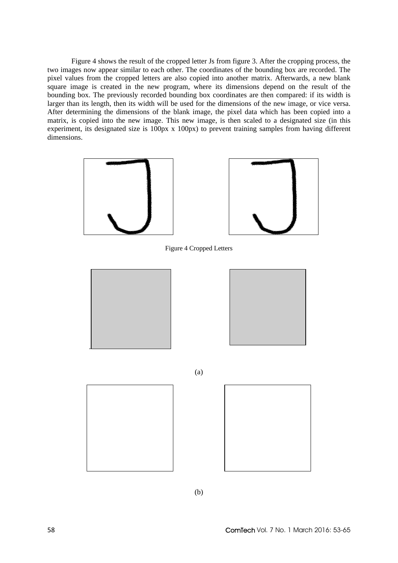Figure 4 shows the result of the cropped letter Js from figure 3. After the cropping process, the two images now appear similar to each other. The coordinates of the bounding box are recorded. The pixel values from the cropped letters are also copied into another matrix. Afterwards, a new blank square image is created in the new program, where its dimensions depend on the result of the bounding box. The previously recorded bounding box coordinates are then compared: if its width is larger than its length, then its width will be used for the dimensions of the new image, or vice versa. After determining the dimensions of the blank image, the pixel data which has been copied into a matrix, is copied into the new image. This new image, is then scaled to a designated size (in this experiment, its designated size is 100px x 100px) to prevent training samples from having different dimensions.



Figure 4 Cropped Letters





(a)





(b)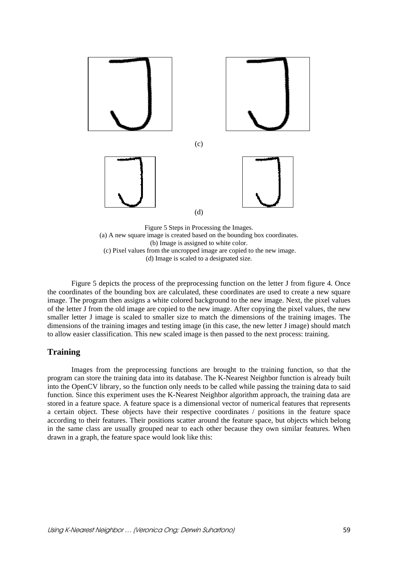

(c) Pixel values from the uncropped image are copied to the new image.

(d) Image is scaled to a designated size.

Figure 5 depicts the process of the preprocessing function on the letter J from figure 4. Once the coordinates of the bounding box are calculated, these coordinates are used to create a new square image. The program then assigns a white colored background to the new image. Next, the pixel values of the letter J from the old image are copied to the new image. After copying the pixel values, the new smaller letter J image is scaled to smaller size to match the dimensions of the training images. The dimensions of the training images and testing image (in this case, the new letter J image) should match to allow easier classification. This new scaled image is then passed to the next process: training.

#### **Training**

Images from the preprocessing functions are brought to the training function, so that the program can store the training data into its database. The K-Nearest Neighbor function is already built into the OpenCV library, so the function only needs to be called while passing the training data to said function. Since this experiment uses the K-Nearest Neighbor algorithm approach, the training data are stored in a feature space. A feature space is a dimensional vector of numerical features that represents a certain object. These objects have their respective coordinates / positions in the feature space according to their features. Their positions scatter around the feature space, but objects which belong in the same class are usually grouped near to each other because they own similar features. When drawn in a graph, the feature space would look like this: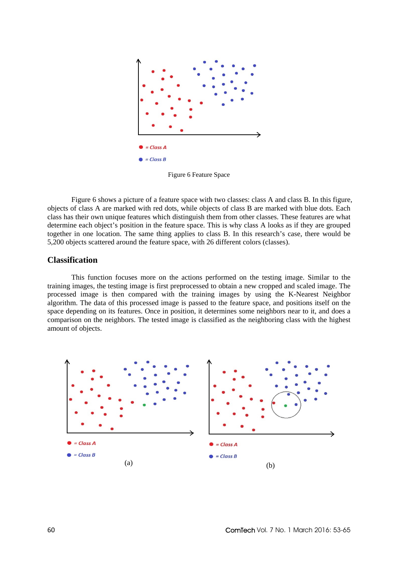

Figure 6 Feature Space

Figure 6 shows a picture of a feature space with two classes: class A and class B. In this figure, objects of class A are marked with red dots, while objects of class B are marked with blue dots. Each class has their own unique features which distinguish them from other classes. These features are what determine each object's position in the feature space. This is why class A looks as if they are grouped together in one location. The same thing applies to class B. In this research's case, there would be 5,200 objects scattered around the feature space, with 26 different colors (classes).

#### **Classification**

This function focuses more on the actions performed on the testing image. Similar to the training images, the testing image is first preprocessed to obtain a new cropped and scaled image. The processed image is then compared with the training images by using the K-Nearest Neighbor algorithm. The data of this processed image is passed to the feature space, and positions itself on the space depending on its features. Once in position, it determines some neighbors near to it, and does a comparison on the neighbors. The tested image is classified as the neighboring class with the highest amount of objects.

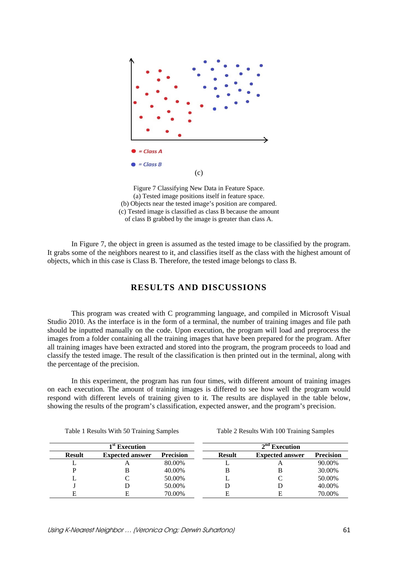

Figure 7 Classifying New Data in Feature Space. (a) Tested image positions itself in feature space. (b) Objects near the tested image's position are compared. (c) Tested image is classified as class B because the amount of class B grabbed by the image is greater than class A.

In Figure 7, the object in green is assumed as the tested image to be classified by the program. It grabs some of the neighbors nearest to it, and classifies itself as the class with the highest amount of objects, which in this case is Class B. Therefore, the tested image belongs to class B.

## **RESULTS AND DISCUSSIONS**

This program was created with C programming language, and compiled in Microsoft Visual Studio 2010. As the interface is in the form of a terminal, the number of training images and file path should be inputted manually on the code. Upon execution, the program will load and preprocess the images from a folder containing all the training images that have been prepared for the program. After all training images have been extracted and stored into the program, the program proceeds to load and classify the tested image. The result of the classification is then printed out in the terminal, along with the percentage of the precision.

In this experiment, the program has run four times, with different amount of training images on each execution. The amount of training images is differed to see how well the program would respond with different levels of training given to it. The results are displayed in the table below, showing the results of the program's classification, expected answer, and the program's precision.

| $1^\mathrm{st}$ Execution |                        |                  | $2nd$ Execution |                        |                  |  |
|---------------------------|------------------------|------------------|-----------------|------------------------|------------------|--|
| <b>Result</b>             | <b>Expected answer</b> | <b>Precision</b> | <b>Result</b>   | <b>Expected answer</b> | <b>Precision</b> |  |
|                           |                        | 80.00%           |                 |                        | 90.00%           |  |
| D                         |                        | 40.00%           | B               |                        | 30.00%           |  |
|                           |                        | 50.00%           |                 |                        | 50.00%           |  |
|                           |                        | 50.00%           |                 |                        | 40.00%           |  |
| F                         |                        | 70.00%           | E               |                        | 70.00%           |  |

Table 1 Results With 50 Training Samples Table 2 Results With 100 Training Samples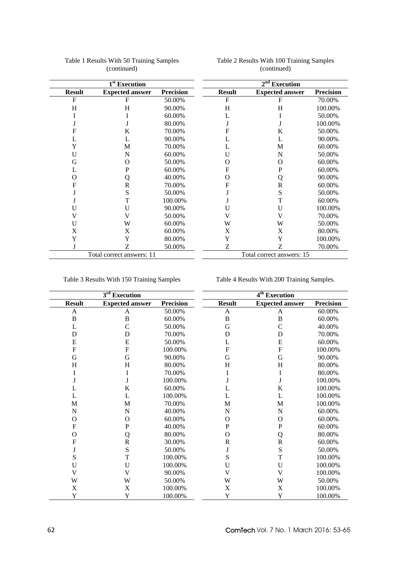|               | 1 <sup>st</sup> Execution |                  |               | $2nd$ Execution           |                  |
|---------------|---------------------------|------------------|---------------|---------------------------|------------------|
| <b>Result</b> | <b>Expected answer</b>    | <b>Precision</b> | <b>Result</b> | <b>Expected answer</b>    | <b>Precision</b> |
| F             | F                         | 50.00%           | F             | F                         | 70.00%           |
| H             | H                         | 90.00%           | H             | H                         | 100.00%          |
|               |                           | 60.00%           | L             |                           | 50.00%           |
|               |                           | 80.00%           |               |                           | 100.00%          |
| F             | K                         | 70.00%           | F             | K                         | 50.00%           |
| L             |                           | 90.00%           | L             | L                         | 90.00%           |
| Y             | M                         | 70.00%           | L             | M                         | 60.00%           |
| U             | N                         | 60.00%           | U             | N                         | 50.00%           |
| G             | O                         | 50.00%           | O             | O                         | 60.00%           |
| L             | P                         | 60.00%           | $\mathbf{F}$  | P                         | 60.00%           |
| O             | Q                         | 40.00%           | $\Omega$      | Q                         | 90.00%           |
| F             | $\mathbb{R}$              | 70.00%           | F             | R                         | 60.00%           |
|               | S                         | 50.00%           |               | S                         | 50.00%           |
|               | T                         | 100.00%          |               | T                         | 60.00%           |
| U             | U                         | 90.00%           | U             | U                         | 100.00%          |
| V             | V                         | 50.00%           | V             | V                         | 70.00%           |
| U             | W                         | 60.00%           | W             | W                         | 50.00%           |
| X             | X                         | 60.00%           | X             | X                         | 80.00%           |
| Y             | Y                         | 80.00%           | Y             | Y                         | 100.00%          |
|               | Z                         | 50.00%           | Z             | Z                         | 70.00%           |
|               | Total correct answers: 11 |                  |               | Total correct answers: 15 |                  |

#### Table 1 Results With 50 Training Samples (continued)

#### Table 2 Results With 100 Training Samples (continued)

Table 3 Results With 150 Training Samples Table 4 Results With 200 Training Samples.

| $\overline{3^{rd}}$ Execution |                           |                  |                           | 4 <sup>th</sup> Execution |                  |  |
|-------------------------------|---------------------------|------------------|---------------------------|---------------------------|------------------|--|
| <b>Result</b>                 | <b>Expected answer</b>    | <b>Precision</b> | <b>Result</b>             | <b>Expected answer</b>    | <b>Precision</b> |  |
| A                             | A                         | 50.00%           | A                         | A                         | 60.00%           |  |
| $\mathbf B$                   | $\overline{B}$            | 60.00%           | $\, {\bf B}$              | $\mathbf B$               | 60.00%           |  |
| L                             | $\mathcal{C}$             | 50.00%           | G                         | $\mathcal{C}$             | 40.00%           |  |
| D                             | D                         | 70.00%           | D                         | D                         | 70.00%           |  |
| E                             | E                         | 50.00%           | L                         | E                         | 60.00%           |  |
| $\mathbf F$                   | $\mathbf F$               | 100.00%          | $\boldsymbol{\mathrm{F}}$ | $\mathbf F$               | 100.00%          |  |
| G                             | G                         | 90.00%           | G                         | G                         | 90.00%           |  |
| H                             | H                         | 80.00%           | H                         | H                         | 80.00%           |  |
| I                             | I                         | 70.00%           | I                         | I                         | 80.00%           |  |
|                               | J                         | 100.00%          |                           | J                         | 100.00%          |  |
| L                             | K                         | 60.00%           | L                         | K                         | 100.00%          |  |
| L                             | L                         | 100.00%          | L                         | L                         | 100.00%          |  |
| M                             | M                         | 70.00%           | M                         | M                         | 100.00%          |  |
| $\mathbf N$                   | $\overline{N}$            | 40.00%           | $\overline{N}$            | $\overline{N}$            | 60.00%           |  |
| O                             | $\Omega$                  | 60.00%           | $\mathbf{O}$              | $\mathcal{O}$             | 60.00%           |  |
| $\mathbf F$                   | $\mathbf P$               | 40.00%           | $\mathbf P$               | ${\bf P}$                 | 60.00%           |  |
| O                             | Q                         | 80.00%           | $\Omega$                  | Q                         | 80.00%           |  |
| $\mathbf F$                   | $\overline{R}$            | 30.00%           | $\mathbf R$               | $\mathbf R$               | 60.00%           |  |
| J                             | S                         | 50.00%           | J                         | S                         | 50.00%           |  |
| S                             | T                         | 100.00%          | S                         | T                         | 100.00%          |  |
| U                             | U                         | 100.00%          | U                         | U                         | 100.00%          |  |
| V                             | V                         | 90.00%           | V                         | $\mathbf{V}$              | 100.00%          |  |
| W                             | W                         | 50.00%           | W                         | W                         | 50.00%           |  |
| X                             | $\boldsymbol{\mathrm{X}}$ | 100.00%          | $\boldsymbol{\mathrm{X}}$ | X                         | 100.00%          |  |
| Y                             | Y                         | 100.00%          | Y                         | Y                         | 100.00%          |  |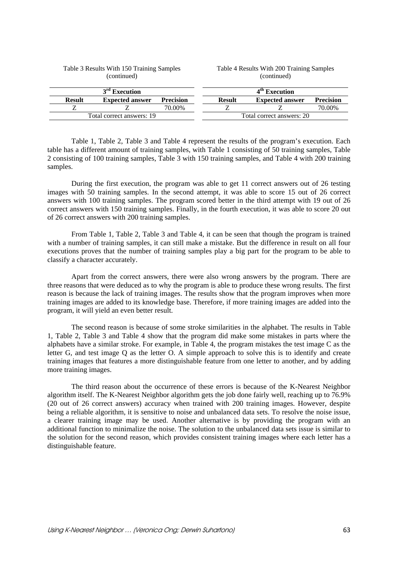| (continued)               |                        |                  | (continued)               |                        |                  |
|---------------------------|------------------------|------------------|---------------------------|------------------------|------------------|
|                           | $3rd$ Execution        |                  |                           | $4th$ Execution        |                  |
| <b>Result</b>             | <b>Expected answer</b> | <b>Precision</b> | <b>Result</b>             | <b>Expected answer</b> | <b>Precision</b> |
|                           |                        | 70.00%           |                           |                        | 70.00%           |
| Total correct answers: 19 |                        |                  | Total correct answers: 20 |                        |                  |

Table 4 Results With 200 Training Samples

#### Table 3 Results With 150 Training Samples (continued)

Table 1, Table 2, Table 3 and Table 4 represent the results of the program's execution. Each table has a different amount of training samples, with Table 1 consisting of 50 training samples, Table 2 consisting of 100 training samples, Table 3 with 150 training samples, and Table 4 with 200 training samples.

During the first execution, the program was able to get 11 correct answers out of 26 testing images with 50 training samples. In the second attempt, it was able to score 15 out of 26 correct answers with 100 training samples. The program scored better in the third attempt with 19 out of 26 correct answers with 150 training samples. Finally, in the fourth execution, it was able to score 20 out of 26 correct answers with 200 training samples.

From Table 1, Table 2, Table 3 and Table 4, it can be seen that though the program is trained with a number of training samples, it can still make a mistake. But the difference in result on all four executions proves that the number of training samples play a big part for the program to be able to classify a character accurately.

Apart from the correct answers, there were also wrong answers by the program. There are three reasons that were deduced as to why the program is able to produce these wrong results. The first reason is because the lack of training images. The results show that the program improves when more training images are added to its knowledge base. Therefore, if more training images are added into the program, it will yield an even better result.

The second reason is because of some stroke similarities in the alphabet. The results in Table 1, Table 2, Table 3 and Table 4 show that the program did make some mistakes in parts where the alphabets have a similar stroke. For example, in Table 4, the program mistakes the test image C as the letter G, and test image Q as the letter O. A simple approach to solve this is to identify and create training images that features a more distinguishable feature from one letter to another, and by adding more training images.

The third reason about the occurrence of these errors is because of the K-Nearest Neighbor algorithm itself. The K-Nearest Neighbor algorithm gets the job done fairly well, reaching up to 76.9% (20 out of 26 correct answers) accuracy when trained with 200 training images. However, despite being a reliable algorithm, it is sensitive to noise and unbalanced data sets. To resolve the noise issue, a clearer training image may be used. Another alternative is by providing the program with an additional function to minimalize the noise. The solution to the unbalanced data sets issue is similar to the solution for the second reason, which provides consistent training images where each letter has a distinguishable feature.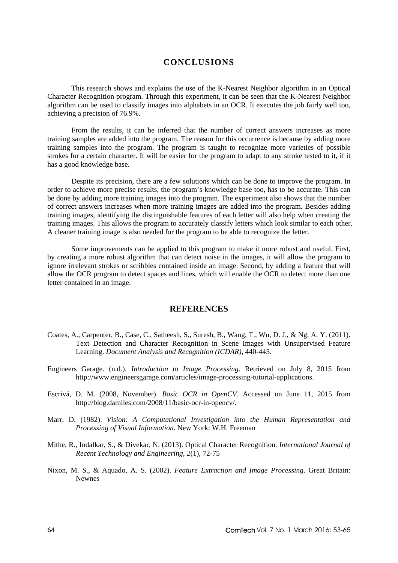## **CONCLUSIONS**

This research shows and explains the use of the K-Nearest Neighbor algorithm in an Optical Character Recognition program. Through this experiment, it can be seen that the K-Nearest Neighbor algorithm can be used to classify images into alphabets in an OCR. It executes the job fairly well too, achieving a precision of 76.9%.

From the results, it can be inferred that the number of correct answers increases as more training samples are added into the program. The reason for this occurrence is because by adding more training samples into the program. The program is taught to recognize more varieties of possible strokes for a certain character. It will be easier for the program to adapt to any stroke tested to it, if it has a good knowledge base.

Despite its precision, there are a few solutions which can be done to improve the program. In order to achieve more precise results, the program's knowledge base too, has to be accurate. This can be done by adding more training images into the program. The experiment also shows that the number of correct answers increases when more training images are added into the program. Besides adding training images, identifying the distinguishable features of each letter will also help when creating the training images. This allows the program to accurately classify letters which look similar to each other. A cleaner training image is also needed for the program to be able to recognize the letter.

Some improvements can be applied to this program to make it more robust and useful. First, by creating a more robust algorithm that can detect noise in the images, it will allow the program to ignore irrelevant strokes or scribbles contained inside an image. Second, by adding a feature that will allow the OCR program to detect spaces and lines, which will enable the OCR to detect more than one letter contained in an image.

#### **REFERENCES**

- Coates, A., Carpenter, B., Case, C., Satheesh, S., Suresh, B., Wang, T., Wu, D. J., & Ng, A. Y. (2011). Text Detection and Character Recognition in Scene Images with Unsupervised Feature Learning. *Document Analysis and Recognition (ICDAR)*, 440-445.
- Engineers Garage. (n.d.). *Introduction to Image Processing*. Retrieved on July 8, 2015 from http://www.engineersgarage.com/articles/image-processing-tutorial-applications.
- Escrivá, D. M. (2008, November). *Basic OCR in OpenCV*. Accessed on June 11, 2015 from http://blog.damiles.com/2008/11/basic-ocr-in-opencv/.
- Marr, D. (1982). *Vision: A Computational Investigation into the Human Representation and Processing of Visual Information*. New York: W.H. Freeman
- Mithe, R., Indalkar, S., & Divekar, N. (2013). Optical Character Recognition. *International Journal of Recent Technology and Engineering*, *2*(1), 72-75
- Nixon, M. S., & Aquado, A. S. (2002). *Feature Extraction and Image Processing*. Great Britain: Newnes